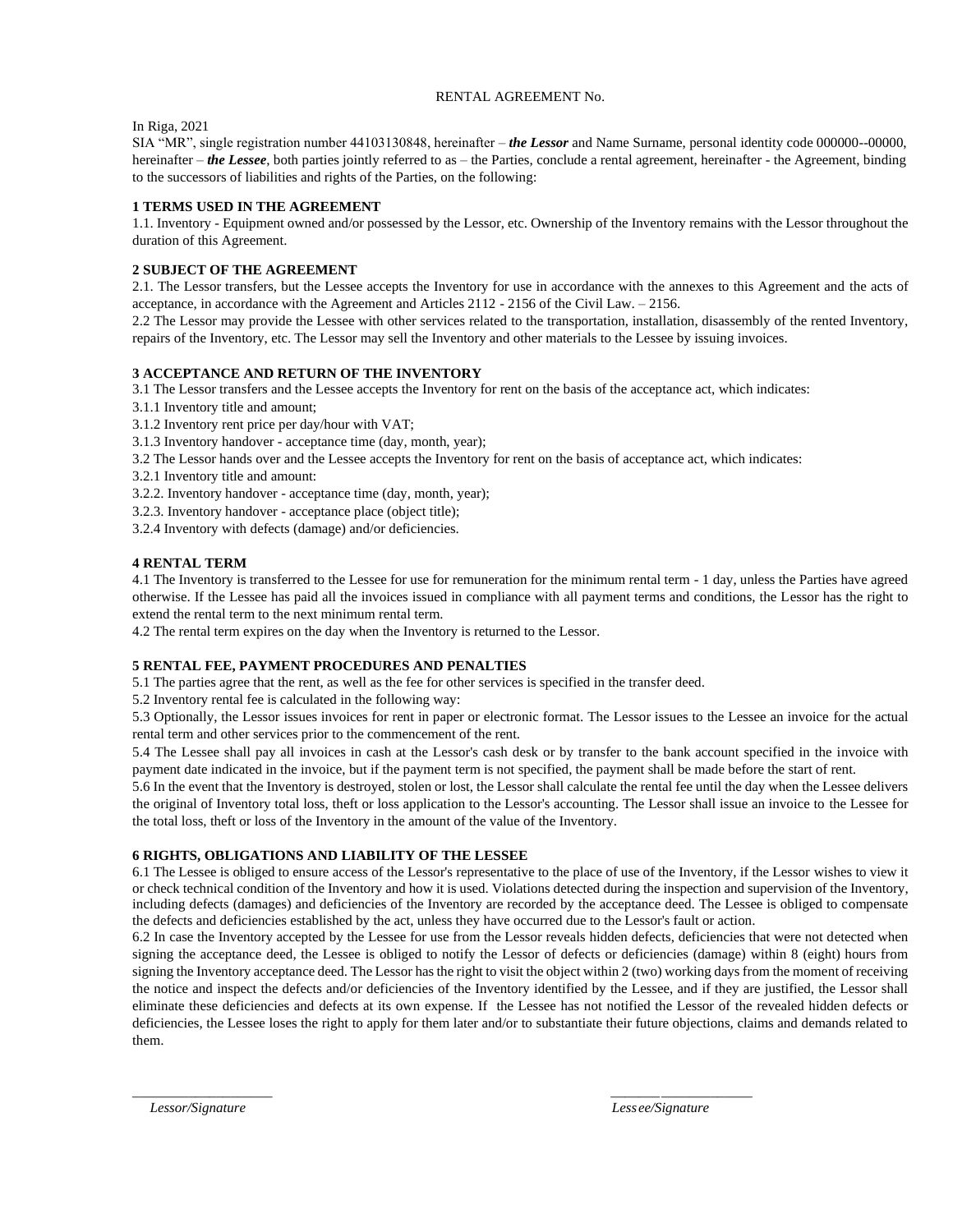# RENTAL AGREEMENT No.

In Riga, 2021

SIA "MR", single registration number 44103130848, hereinafter – *the Lessor* and Name Surname, personal identity code 000000--00000, hereinafter – *the Lessee*, both parties jointly referred to as – the Parties, conclude a rental agreement, hereinafter - the Agreement, binding to the successors of liabilities and rights of the Parties, on the following:

# **1 TERMS USED IN THE AGREEMENT**

1.1. Inventory - Equipment owned and/or possessed by the Lessor, etc. Ownership of the Inventory remains with the Lessor throughout the duration of this Agreement.

## **2 SUBJECT OF THE AGREEMENT**

2.1. The Lessor transfers, but the Lessee accepts the Inventory for use in accordance with the annexes to this Agreement and the acts of acceptance, in accordance with the Agreement and Articles 2112 - 2156 of the Civil Law. – 2156.

2.2 The Lessor may provide the Lessee with other services related to the transportation, installation, disassembly of the rented Inventory, repairs of the Inventory, etc. The Lessor may sell the Inventory and other materials to the Lessee by issuing invoices.

# **3 ACCEPTANCE AND RETURN OF THE INVENTORY**

3.1 The Lessor transfers and the Lessee accepts the Inventory for rent on the basis of the acceptance act, which indicates:

- 3.1.1 Inventory title and amount;
- 3.1.2 Inventory rent price per day/hour with VAT;
- 3.1.3 Inventory handover acceptance time (day, month, year);
- 3.2 The Lessor hands over and the Lessee accepts the Inventory for rent on the basis of acceptance act, which indicates:
- 3.2.1 Inventory title and amount:
- 3.2.2. Inventory handover acceptance time (day, month, year);
- 3.2.3. Inventory handover acceptance place (object title);
- 3.2.4 Inventory with defects (damage) and/or deficiencies.

## **4 RENTAL TERM**

4.1 The Inventory is transferred to the Lessee for use for remuneration for the minimum rental term - 1 day, unless the Parties have agreed otherwise. If the Lessee has paid all the invoices issued in compliance with all payment terms and conditions, the Lessor has the right to extend the rental term to the next minimum rental term.

4.2 The rental term expires on the day when the Inventory is returned to the Lessor.

# **5 RENTAL FEE, PAYMENT PROCEDURES AND PENALTIES**

5.1 The parties agree that the rent, as well as the fee for other services is specified in the transfer deed.

5.2 Inventory rental fee is calculated in the following way:

5.3 Optionally, the Lessor issues invoices for rent in paper or electronic format. The Lessor issues to the Lessee an invoice for the actual rental term and other services prior to the commencement of the rent.

5.4 The Lessee shall pay all invoices in cash at the Lessor's cash desk or by transfer to the bank account specified in the invoice with payment date indicated in the invoice, but if the payment term is not specified, the payment shall be made before the start of rent.

5.6 In the event that the Inventory is destroyed, stolen or lost, the Lessor shall calculate the rental fee until the day when the Lessee delivers the original of Inventory total loss, theft or loss application to the Lessor's accounting. The Lessor shall issue an invoice to the Lessee for the total loss, theft or loss of the Inventory in the amount of the value of the Inventory.

# **6 RIGHTS, OBLIGATIONS AND LIABILITY OF THE LESSEE**

6.1 The Lessee is obliged to ensure access of the Lessor's representative to the place of use of the Inventory, if the Lessor wishes to view it or check technical condition of the Inventory and how it is used. Violations detected during the inspection and supervision of the Inventory, including defects (damages) and deficiencies of the Inventory are recorded by the acceptance deed. The Lessee is obliged to compensate the defects and deficiencies established by the act, unless they have occurred due to the Lessor's fault or action.

6.2 In case the Inventory accepted by the Lessee for use from the Lessor reveals hidden defects, deficiencies that were not detected when signing the acceptance deed, the Lessee is obliged to notify the Lessor of defects or deficiencies (damage) within 8 (eight) hours from signing the Inventory acceptance deed. The Lessor has the right to visit the object within 2 (two) working days from the moment of receiving the notice and inspect the defects and/or deficiencies of the Inventory identified by the Lessee, and if they are justified, the Lessor shall eliminate these deficiencies and defects at its own expense. If the Lessee has not notified the Lessor of the revealed hidden defects or deficiencies, the Lessee loses the right to apply for them later and/or to substantiate their future objections, claims and demands related to them.

 $\frac{1}{2}$  , the contribution of the contribution of the contribution of the contribution of the contribution of the contribution of the contribution of the contribution of the contribution of the contribution of the contr

*Lessor/Signature Less ee/Signature*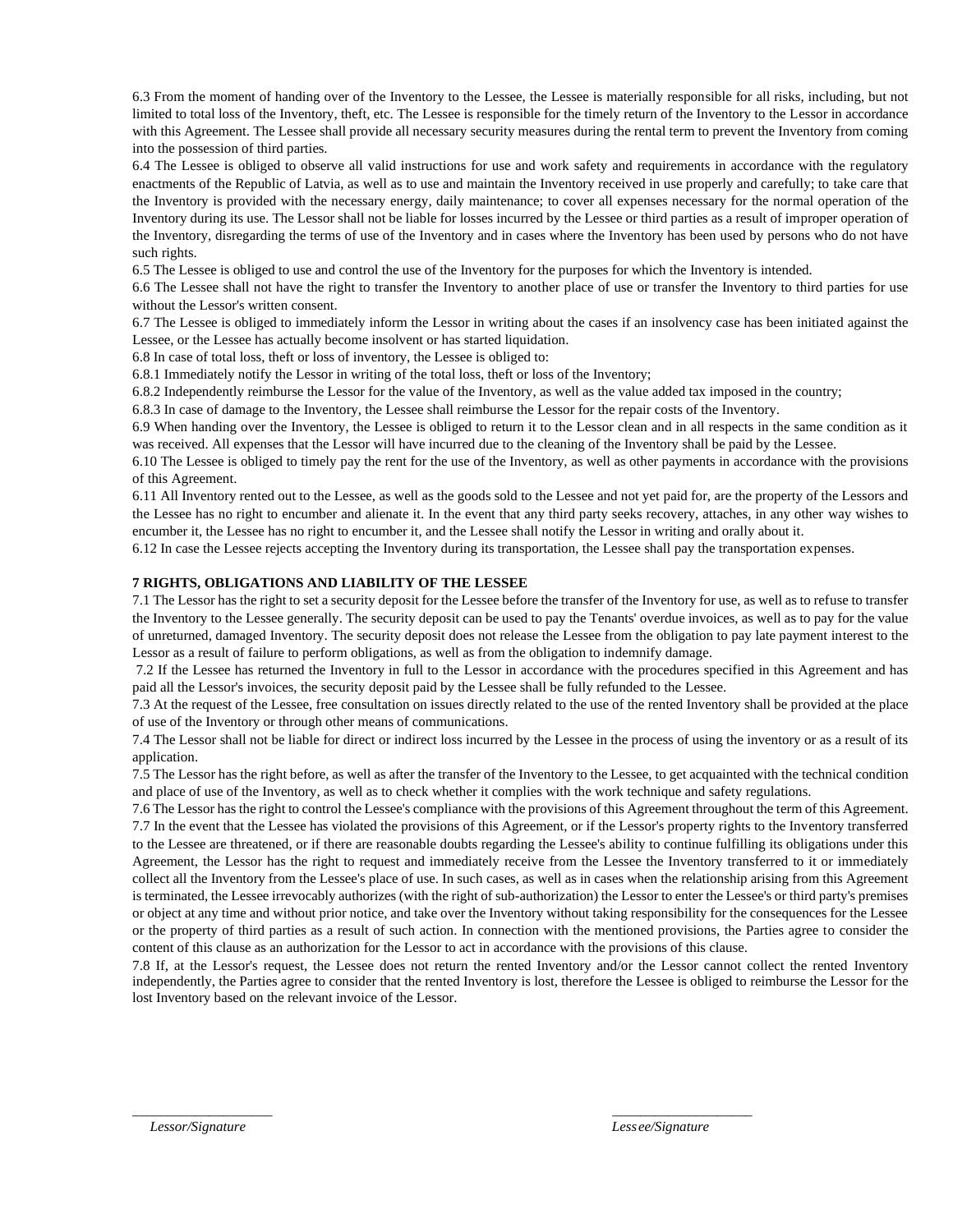6.3 From the moment of handing over of the Inventory to the Lessee, the Lessee is materially responsible for all risks, including, but not limited to total loss of the Inventory, theft, etc. The Lessee is responsible for the timely return of the Inventory to the Lessor in accordance with this Agreement. The Lessee shall provide all necessary security measures during the rental term to prevent the Inventory from coming into the possession of third parties.

6.4 The Lessee is obliged to observe all valid instructions for use and work safety and requirements in accordance with the regulatory enactments of the Republic of Latvia, as well as to use and maintain the Inventory received in use properly and carefully; to take care that the Inventory is provided with the necessary energy, daily maintenance; to cover all expenses necessary for the normal operation of the Inventory during its use. The Lessor shall not be liable for losses incurred by the Lessee or third parties as a result of improper operation of the Inventory, disregarding the terms of use of the Inventory and in cases where the Inventory has been used by persons who do not have such rights.

6.5 The Lessee is obliged to use and control the use of the Inventory for the purposes for which the Inventory is intended.

6.6 The Lessee shall not have the right to transfer the Inventory to another place of use or transfer the Inventory to third parties for use without the Lessor's written consent.

6.7 The Lessee is obliged to immediately inform the Lessor in writing about the cases if an insolvency case has been initiated against the Lessee, or the Lessee has actually become insolvent or has started liquidation.

6.8 In case of total loss, theft or loss of inventory, the Lessee is obliged to:

6.8.1 Immediately notify the Lessor in writing of the total loss, theft or loss of the Inventory;

6.8.2 Independently reimburse the Lessor for the value of the Inventory, as well as the value added tax imposed in the country;

6.8.3 In case of damage to the Inventory, the Lessee shall reimburse the Lessor for the repair costs of the Inventory.

6.9 When handing over the Inventory, the Lessee is obliged to return it to the Lessor clean and in all respects in the same condition as it was received. All expenses that the Lessor will have incurred due to the cleaning of the Inventory shall be paid by the Lessee.

6.10 The Lessee is obliged to timely pay the rent for the use of the Inventory, as well as other payments in accordance with the provisions of this Agreement.

6.11 All Inventory rented out to the Lessee, as well as the goods sold to the Lessee and not yet paid for, are the property of the Lessors and the Lessee has no right to encumber and alienate it. In the event that any third party seeks recovery, attaches, in any other way wishes to encumber it, the Lessee has no right to encumber it, and the Lessee shall notify the Lessor in writing and orally about it.

6.12 In case the Lessee rejects accepting the Inventory during its transportation, the Lessee shall pay the transportation expenses.

# **7 RIGHTS, OBLIGATIONS AND LIABILITY OF THE LESSEE**

7.1 The Lessor has the right to set a security deposit for the Lessee before the transfer of the Inventory for use, as well as to refuse to transfer the Inventory to the Lessee generally. The security deposit can be used to pay the Tenants' overdue invoices, as well as to pay for the value of unreturned, damaged Inventory. The security deposit does not release the Lessee from the obligation to pay late payment interest to the Lessor as a result of failure to perform obligations, as well as from the obligation to indemnify damage.

7.2 If the Lessee has returned the Inventory in full to the Lessor in accordance with the procedures specified in this Agreement and has paid all the Lessor's invoices, the security deposit paid by the Lessee shall be fully refunded to the Lessee.

7.3 At the request of the Lessee, free consultation on issues directly related to the use of the rented Inventory shall be provided at the place of use of the Inventory or through other means of communications.

7.4 The Lessor shall not be liable for direct or indirect loss incurred by the Lessee in the process of using the inventory or as a result of its application.

7.5 The Lessor has the right before, as well as after the transfer of the Inventory to the Lessee, to get acquainted with the technical condition and place of use of the Inventory, as well as to check whether it complies with the work technique and safety regulations.

7.6 The Lessor has the right to control the Lessee's compliance with the provisions of this Agreement throughout the term of this Agreement. 7.7 In the event that the Lessee has violated the provisions of this Agreement, or if the Lessor's property rights to the Inventory transferred to the Lessee are threatened, or if there are reasonable doubts regarding the Lessee's ability to continue fulfilling its obligations under this Agreement, the Lessor has the right to request and immediately receive from the Lessee the Inventory transferred to it or immediately collect all the Inventory from the Lessee's place of use. In such cases, as well as in cases when the relationship arising from this Agreement is terminated, the Lessee irrevocably authorizes (with the right of sub-authorization) the Lessor to enter the Lessee's or third party's premises or object at any time and without prior notice, and take over the Inventory without taking responsibility for the consequences for the Lessee or the property of third parties as a result of such action. In connection with the mentioned provisions, the Parties agree to consider the content of this clause as an authorization for the Lessor to act in accordance with the provisions of this clause.

7.8 If, at the Lessor's request, the Lessee does not return the rented Inventory and/or the Lessor cannot collect the rented Inventory independently, the Parties agree to consider that the rented Inventory is lost, therefore the Lessee is obliged to reimburse the Lessor for the lost Inventory based on the relevant invoice of the Lessor.

 $\overline{\phantom{a}}$  , and the contract of the contract of the contract of the contract of the contract of the contract of the contract of the contract of the contract of the contract of the contract of the contract of the contrac